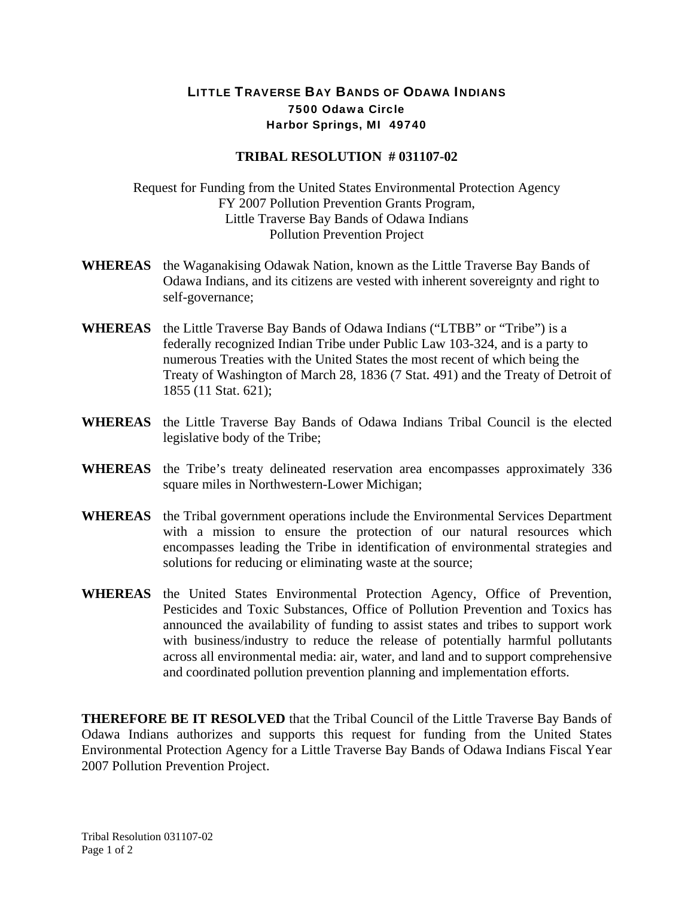## LITTLE TRAVERSE BAY BANDS OF ODAWA INDIANS 7500 Odawa Circle Harbor Springs, MI 49740

## **TRIBAL RESOLUTION # 031107-02**

Request for Funding from the United States Environmental Protection Agency FY 2007 Pollution Prevention Grants Program, Little Traverse Bay Bands of Odawa Indians Pollution Prevention Project

- **WHEREAS** the Waganakising Odawak Nation, known as the Little Traverse Bay Bands of Odawa Indians, and its citizens are vested with inherent sovereignty and right to self-governance;
- **WHEREAS** the Little Traverse Bay Bands of Odawa Indians ("LTBB" or "Tribe") is a federally recognized Indian Tribe under Public Law 103-324, and is a party to numerous Treaties with the United States the most recent of which being the Treaty of Washington of March 28, 1836 (7 Stat. 491) and the Treaty of Detroit of 1855 (11 Stat. 621);
- **WHEREAS** the Little Traverse Bay Bands of Odawa Indians Tribal Council is the elected legislative body of the Tribe;
- **WHEREAS** the Tribe's treaty delineated reservation area encompasses approximately 336 square miles in Northwestern-Lower Michigan;
- **WHEREAS** the Tribal government operations include the Environmental Services Department with a mission to ensure the protection of our natural resources which encompasses leading the Tribe in identification of environmental strategies and solutions for reducing or eliminating waste at the source;
- **WHEREAS** the United States Environmental Protection Agency, Office of Prevention, Pesticides and Toxic Substances, Office of Pollution Prevention and Toxics has announced the availability of funding to assist states and tribes to support work with business/industry to reduce the release of potentially harmful pollutants across all environmental media: air, water, and land and to support comprehensive and coordinated pollution prevention planning and implementation efforts.

**THEREFORE BE IT RESOLVED** that the Tribal Council of the Little Traverse Bay Bands of Odawa Indians authorizes and supports this request for funding from the United States Environmental Protection Agency for a Little Traverse Bay Bands of Odawa Indians Fiscal Year 2007 Pollution Prevention Project.